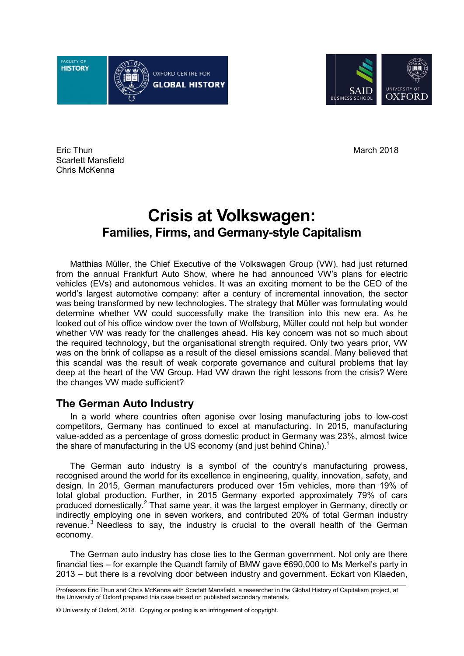culty of **HISTORY** OXFORD CENTRE FOR **GLOBAL HISTORY** 



Eric Thun Scarlett Mansfield Chris McKenna

# **Crisis at Volkswagen: Families, Firms, and Germany and Germany-style Capitalism style**

Matthias Müller, the Chief Executive of the Volkswagen Group (VW), had just returned from the annual Frankfurt Auto Show, where he had announced VW's plans for electric vehicles (EVs) and autonomous vehicles. It was an exciting moment to be the CEO of the world's largest automotive company: after a century of incremental innovation, the sector was being transformed by new technologies. The strategy that Müller was formulat determine whether VW could successfully make the transition into this new era. As he looked out of his office window over the town of Wolfsburg, Müller could not help but wonder looked out of his office window over the town of Wolfsburg, Müller could not help but wonder<br>whether VW was ready for the challenges ahead. His key concern was not so much about the required technology, but the organisational strength required. Only two years prior, VW was on the brink of collapse as a result of the diesel emissions scandal. Many believed that this scandal was the result of weak corporate governance and cultural problems that lay this scandal was the result of weak corporate governance and cultural problems that lay<br>deep at the heart of the VW Group. Had VW drawn the right lessons from the crisis? Were the changes VW made sufficient? **Crisis at Volkswas,**<br> **Crisis at Volkswag**<br>
S. Firms, and Germany-s<br>
the Chief Executive of the Volkswage<br>
stronomous vehicles. It was an excitive company: after a century of<br>
otive company: after a century of interval<br>
w March 2018<br> **Satt Volkswagen Group (WV)**, had just returned<br>
enticles. It was an exiting moment to be the GEO of the<br>
enticles. It was an exiting moment to be the GEO of the<br>
enticles. It was an exiting moment to be the GE where he had announced VW's plans for electric<br>s. It was an exciting moment to be the CEO of the<br>ter a century of incremental innovation, the sector<br>gies. The strategy that Müller was formulating would

# **The German Auto Industry**

changes VW made sufficient?<br> **e German Auto Industry**<br>In a world where countries often agonise over losing manufacturing jobs to low-cost competitors, Germany has continued to excel at manufacturing. In 2015, manufacturing value-added as a percentage of gross domestic product in Germany was 23%, almost twice the share of manufacturing in the US economy (and just behind China).<sup>1</sup>

The German auto industry is a symbol of the country's manufacturing prowess, The German auto industry is a symbol of the country's manufacturing prowess, recognised around the world for its excellence in engineering, quality, innovation, safety, and design. In 2015, German manufacturers produced over 15m vehicles, more than 19% of design. In 2015, German manufacturers produced over 15m vehicles, more than 19% of<br>total global production. Further, in 2015 Germany exported approximately 79% of cars produced domestically.<sup>2</sup> That same year, it was the largest employer in Germany, directly or produced domestically.<sup>2</sup> That same year, it was the largest employer in Germany, directly or<br>indirectly employing one in seven workers, and contributed 20% of total German industry revenue.<sup>3</sup> Needless to say, the industry is crucial to the overall health of the German economy. e world for its excellence in engineering, quality, innovation, safety, and<br>man manufacturers produced over 15m vehicles, more than 19% of<br>on. Further, in 2015 Germany exported approximately 79% of cars<br>y.<sup>2</sup> That same yea ted 20% of total German indust<br>he overall health of the Germa<br>an government. Not only are the<br>re €690,000 to Ms Merkel's party

The German auto industry German auto industry has close ties to the German government. Not only are there financial ties – for example the Quandt family of BMW gave €690,000 to Ms Merkel's party in 2013 – but there is a revolving door between industry and government. Eckart von Klaeden,

\_\_\_\_\_\_\_\_\_\_\_\_\_\_\_\_\_\_\_\_\_\_\_\_\_\_\_\_\_\_\_\_\_\_\_\_\_\_ Professors Eric Thun and Chris McKenna with Scarlett Mansfield, a researcher in the Global History of Capitalism project, at the University of Oxford prepared this case based on published secondary materials. \_\_\_\_\_\_\_\_\_\_\_\_\_\_\_\_\_\_\_\_\_\_\_\_\_\_\_\_\_\_\_\_\_\_\_\_\_\_\_\_\_\_\_\_\_\_\_\_\_\_\_\_\_\_\_\_\_\_\_\_\_\_\_\_\_\_\_\_\_\_\_\_\_\_\_\_\_\_\_\_\_\_\_\_\_\_\_\_\_\_\_\_\_\_\_\_\_\_\_\_\_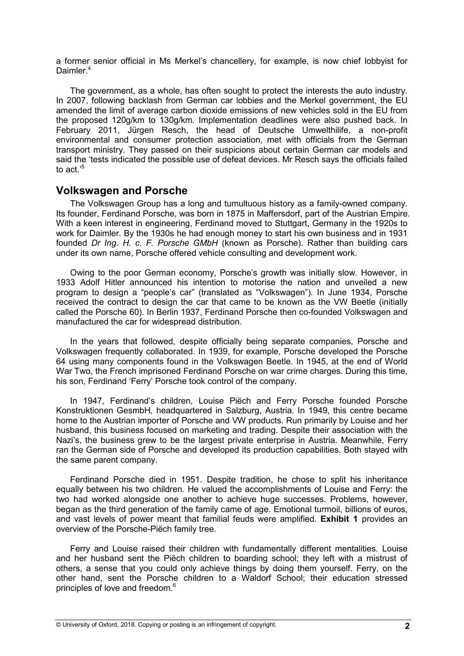a former senior official in Ms Merkel's chancellery, for example, is now chief lobbyist for Daimler.<sup>4</sup>

The government, as a whole, has often sought to protect the interests the auto industry. In 2007, following backlash from German car lobbies and the Merkel government, the EU amended the limit of average carbon dioxide emissions of new vehicles sold in the EU from the proposed 120g/km to 130g/km. Implementation deadlines were also pushed back. In February 2011, Jürgen Resch, the head of Deutsche Umwelthilife, a non-profit environmental and consumer protection association, met with officials from the German transport ministry. They passed on their suspicions about certain German car models and said the 'tests indicated the possible use of defeat devices. Mr Resch says the officials failed to act.'<sup>5</sup>

# **Volkswagen and Porsche**

The Volkswagen Group has a long and tumultuous history as a family-owned company. Its founder, Ferdinand Porsche, was born in 1875 in Maffersdorf, part of the Austrian Empire. With a keen interest in engineering, Ferdinand moved to Stuttgart, Germany in the 1920s to work for Daimler. By the 1930s he had enough money to start his own business and in 1931 founded *Dr Ing. H. c. F. Porsche GMbH* (known as Porsche). Rather than building cars under its own name, Porsche offered vehicle consulting and development work.

Owing to the poor German economy, Porsche's growth was initially slow. However, in 1933 Adolf Hitler announced his intention to motorise the nation and unveiled a new program to design a "people's car" (translated as "Volkswagen"). In June 1934, Porsche received the contract to design the car that came to be known as the VW Beetle (initially called the Porsche 60). In Berlin 1937, Ferdinand Porsche then co-founded Volkswagen and manufactured the car for widespread distribution.

In the years that followed, despite officially being separate companies, Porsche and Volkswagen frequently collaborated. In 1939, for example, Porsche developed the Porsche 64 using many components found in the Volkswagen Beetle. In 1945, at the end of World War Two, the French imprisoned Ferdinand Porsche on war crime charges. During this time, his son, Ferdinand 'Ferry' Porsche took control of the company.

In 1947, Ferdinand's children, Louise Piëch and Ferry Porsche founded Porsche Konstruktionen GesmbH*,* headquartered in Salzburg, Austria. In 1949, this centre became home to the Austrian importer of Porsche and VW products. Run primarily by Louise and her husband, this business focused on marketing and trading. Despite their association with the Nazi's, the business grew to be the largest private enterprise in Austria. Meanwhile, Ferry ran the German side of Porsche and developed its production capabilities. Both stayed with the same parent company.

Ferdinand Porsche died in 1951. Despite tradition, he chose to split his inheritance equally between his two children. He valued the accomplishments of Louise and Ferry: the two had worked alongside one another to achieve huge successes. Problems, however, began as the third generation of the family came of age. Emotional turmoil, billions of euros, and vast levels of power meant that familial feuds were amplified. **Exhibit 1** provides an overview of the Porsche-Piëch family tree.

Ferry and Louise raised their children with fundamentally different mentalities. Louise and her husband sent the Piëch children to boarding school; they left with a mistrust of others, a sense that you could only achieve things by doing them yourself. Ferry, on the other hand, sent the Porsche children to a Waldorf School; their education stressed principles of love and freedom.<sup>6</sup>

© University of Oxford, 2018. Copying or posting is an infringement of copyright. **2**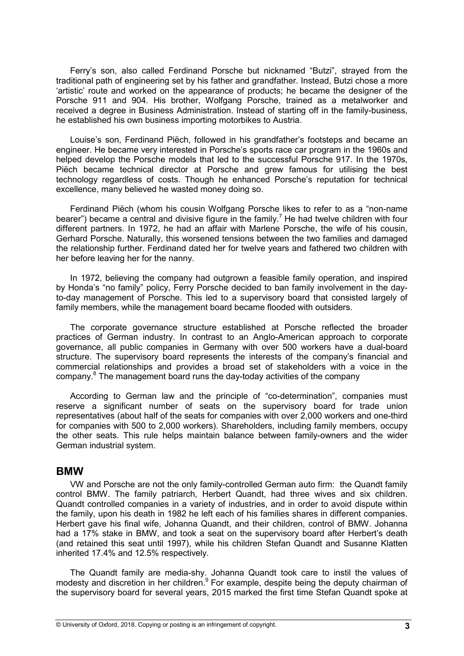Ferry's son, also called Ferdinand Porsche but nicknamed "Butzi", strayed from the traditional path of engineering set by his father and grandfather. Instead, Butzi chose a more 'artistic' route and worked on the appearance of products; he became the designer of the Porsche 911 and 904. His brother, Wolfgang Porsche, trained as a metalworker and received a degree in Business Administration. Instead of starting off in the family-business, he established his own business importing motorbikes to Austria.

Louise's son, Ferdinand Piëch, followed in his grandfather's footsteps and became an engineer. He became very interested in Porsche's sports race car program in the 1960s and helped develop the Porsche models that led to the successful Porsche 917. In the 1970s, Piëch became technical director at Porsche and grew famous for utilising the best technology regardless of costs. Though he enhanced Porsche's reputation for technical excellence, many believed he wasted money doing so.

Ferdinand Piëch (whom his cousin Wolfgang Porsche likes to refer to as a "non-name bearer") became a central and divisive figure in the family.<sup>7</sup> He had twelve children with four different partners. In 1972, he had an affair with Marlene Porsche, the wife of his cousin, Gerhard Porsche. Naturally, this worsened tensions between the two families and damaged the relationship further. Ferdinand dated her for twelve years and fathered two children with her before leaving her for the nanny.

In 1972, believing the company had outgrown a feasible family operation, and inspired by Honda's "no family" policy, Ferry Porsche decided to ban family involvement in the dayto-day management of Porsche. This led to a supervisory board that consisted largely of family members, while the management board became flooded with outsiders.

The corporate governance structure established at Porsche reflected the broader practices of German industry. In contrast to an Anglo-American approach to corporate governance, all public companies in Germany with over 500 workers have a dual-board structure. The supervisory board represents the interests of the company's financial and commercial relationships and provides a broad set of stakeholders with a voice in the company.<sup>8</sup> The management board runs the day-today activities of the company

According to German law and the principle of "co-determination", companies must reserve a significant number of seats on the supervisory board for trade union representatives (about half of the seats for companies with over 2,000 workers and one-third for companies with 500 to 2,000 workers). Shareholders, including family members, occupy the other seats. This rule helps maintain balance between family-owners and the wider German industrial system.

#### **BMW**

VW and Porsche are not the only family-controlled German auto firm: the Quandt family control BMW. The family patriarch, Herbert Quandt, had three wives and six children. Quandt controlled companies in a variety of industries, and in order to avoid dispute within the family, upon his death in 1982 he left each of his families shares in different companies. Herbert gave his final wife, Johanna Quandt, and their children, control of BMW. Johanna had a 17% stake in BMW, and took a seat on the supervisory board after Herbert's death (and retained this seat until 1997), while his children Stefan Quandt and Susanne Klatten inherited 17.4% and 12.5% respectively.

The Quandt family are media-shy. Johanna Quandt took care to instil the values of modesty and discretion in her children.<sup>9</sup> For example, despite being the deputy chairman of the supervisory board for several years, 2015 marked the first time Stefan Quandt spoke at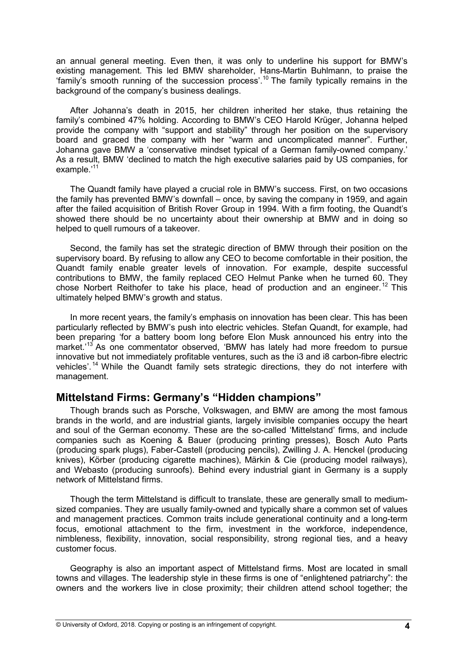an annual general meeting. Even then, it was only to underline his support for BMW's existing management. This led BMW shareholder, Hans-Martin Buhlmann, to praise the 'family's smooth running of the succession process'. <sup>10</sup> The family typically remains in the background of the company's business dealings.

After Johanna's death in 2015, her children inherited her stake, thus retaining the family's combined 47% holding. According to BMW's CEO Harold Krüger, Johanna helped provide the company with "support and stability" through her position on the supervisory board and graced the company with her "warm and uncomplicated manner". Further, Johanna gave BMW a 'conservative mindset typical of a German family-owned company.' As a result, BMW 'declined to match the high executive salaries paid by US companies, for example.'<sup>11</sup>

The Quandt family have played a crucial role in BMW's success. First, on two occasions the family has prevented BMW's downfall – once, by saving the company in 1959, and again after the failed acquisition of British Rover Group in 1994. With a firm footing, the Quandt's showed there should be no uncertainty about their ownership at BMW and in doing so helped to quell rumours of a takeover.

Second, the family has set the strategic direction of BMW through their position on the supervisory board. By refusing to allow any CEO to become comfortable in their position, the Quandt family enable greater levels of innovation. For example, despite successful contributions to BMW, the family replaced CEO Helmut Panke when he turned 60. They chose Norbert Reithofer to take his place, head of production and an engineer.<sup>12</sup> This ultimately helped BMW's growth and status.

In more recent years, the family's emphasis on innovation has been clear. This has been particularly reflected by BMW's push into electric vehicles. Stefan Quandt, for example, had been preparing 'for a battery boom long before Elon Musk announced his entry into the market.<sup>'13</sup> As one commentator observed, 'BMW has lately had more freedom to pursue innovative but not immediately profitable ventures, such as the i3 and i8 carbon-fibre electric vehicles'. <sup>14</sup> While the Quandt family sets strategic directions, they do not interfere with management.

# **Mittelstand Firms: Germany's "Hidden champions"**

Though brands such as Porsche, Volkswagen, and BMW are among the most famous brands in the world, and are industrial giants, largely invisible companies occupy the heart and soul of the German economy. These are the so-called 'Mittelstand' firms, and include companies such as Koening & Bauer (producing printing presses), Bosch Auto Parts (producing spark plugs), Faber-Castell (producing pencils), Zwilling J. A. Henckel (producing knives), Körber (producing cigarette machines), Märkin & Cie (producing model railways), and Webasto (producing sunroofs). Behind every industrial giant in Germany is a supply network of Mittelstand firms.

Though the term Mittelstand is difficult to translate, these are generally small to mediumsized companies. They are usually family-owned and typically share a common set of values and management practices. Common traits include generational continuity and a long-term focus, emotional attachment to the firm, investment in the workforce, independence, nimbleness, flexibility, innovation, social responsibility, strong regional ties, and a heavy customer focus.

Geography is also an important aspect of Mittelstand firms. Most are located in small towns and villages. The leadership style in these firms is one of "enlightened patriarchy": the owners and the workers live in close proximity; their children attend school together; the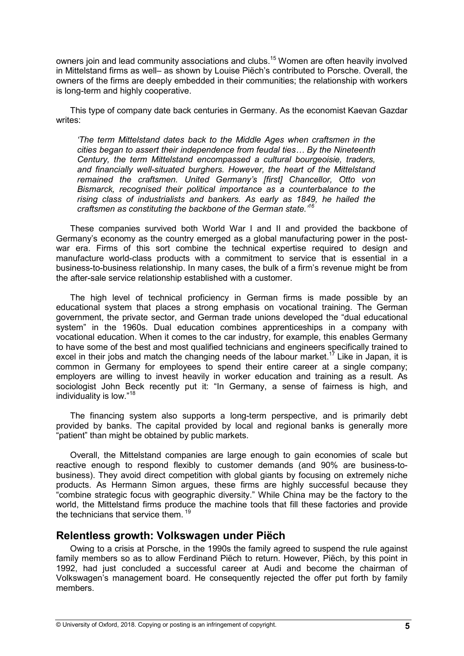owners join and lead community associations and clubs.<sup>15</sup> Women are often heavily involved in Mittelstand firms as well– as shown by Louise Piëch's contributed to Porsche. Overall, the owners of the firms are deeply embedded in their communities; the relationship with workers is long-term and highly cooperative.

This type of company date back centuries in Germany. As the economist Kaevan Gazdar writes:

*'The term Mittelstand dates back to the Middle Ages when craftsmen in the cities began to assert their independence from feudal ties... By the Nineteenth Century, the term Mittelstand encompassed a cultural bourgeoisie, traders, and financially well-situated burghers. However, the heart of the Mittelstand remained the craftsmen. United Germany's [first] Chancellor, Otto von Bismarck, recognised their political importance as a counterbalance to the rising class of industrialists and bankers. As early as 1849, he hailed the craftsmen as constituting the backbone of the German state.'<sup>16</sup>* 

These companies survived both World War I and II and provided the backbone of Germany's economy as the country emerged as a global manufacturing power in the postwar era. Firms of this sort combine the technical expertise required to design and manufacture world-class products with a commitment to service that is essential in a business-to-business relationship. In many cases, the bulk of a firm's revenue might be from the after-sale service relationship established with a customer.

The high level of technical proficiency in German firms is made possible by an educational system that places a strong emphasis on vocational training. The German government, the private sector, and German trade unions developed the "dual educational system" in the 1960s. Dual education combines apprenticeships in a company with vocational education. When it comes to the car industry, for example, this enables Germany to have some of the best and most qualified technicians and engineers specifically trained to excel in their jobs and match the changing needs of the labour market.<sup>17</sup> Like in Japan, it is common in Germany for employees to spend their entire career at a single company; employers are willing to invest heavily in worker education and training as a result. As sociologist John Beck recently put it: "In Germany, a sense of fairness is high, and individuality is low."<sup>18</sup>

The financing system also supports a long-term perspective, and is primarily debt provided by banks. The capital provided by local and regional banks is generally more "patient" than might be obtained by public markets.

Overall, the Mittelstand companies are large enough to gain economies of scale but reactive enough to respond flexibly to customer demands (and 90% are business-tobusiness). They avoid direct competition with global giants by focusing on extremely niche products. As Hermann Simon argues, these firms are highly successful because they "combine strategic focus with geographic diversity." While China may be the factory to the world, the Mittelstand firms produce the machine tools that fill these factories and provide the technicians that service them.<sup>19</sup>

# **Relentless growth: Volkswagen under Piëch**

Owing to a crisis at Porsche, in the 1990s the family agreed to suspend the rule against family members so as to allow Ferdinand Piëch to return. However, Piëch, by this point in 1992, had just concluded a successful career at Audi and become the chairman of Volkswagen's management board. He consequently rejected the offer put forth by family members.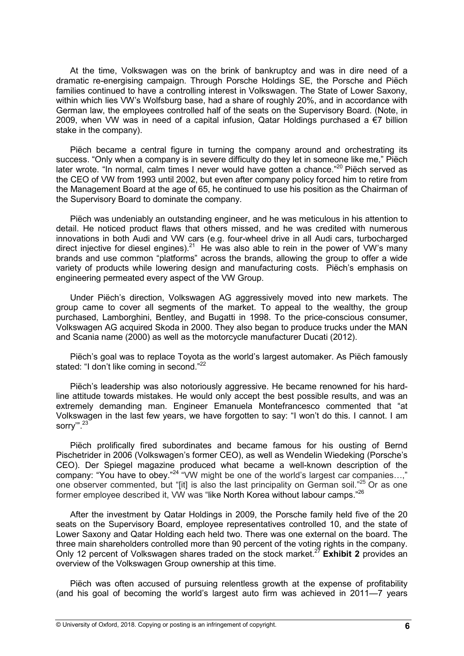At the time, Volkswagen was on the brink of bankruptcy and was in dire need of a dramatic re-energising campaign. Through Porsche Holdings SE, the Porsche and Piëch families continued to have a controlling interest in Volkswagen. The State of Lower Saxony, within which lies VW's Wolfsburg base, had a share of roughly 20%, and in accordance with German law, the employees controlled half of the seats on the Supervisory Board. (Note, in 2009, when VW was in need of a capital infusion, Qatar Holdings purchased a  $\epsilon$ 7 billion stake in the company).

Piëch became a central figure in turning the company around and orchestrating its success. "Only when a company is in severe difficulty do they let in someone like me," Piëch later wrote. "In normal, calm times I never would have gotten a chance."<sup>20</sup> Piëch served as the CEO of VW from 1993 until 2002, but even after company policy forced him to retire from the Management Board at the age of 65, he continued to use his position as the Chairman of the Supervisory Board to dominate the company.

Piëch was undeniably an outstanding engineer, and he was meticulous in his attention to detail. He noticed product flaws that others missed, and he was credited with numerous innovations in both Audi and VW cars (e.g. four-wheel drive in all Audi cars, turbocharged direct injective for diesel engines).<sup>21</sup> He was also able to rein in the power of VW's many brands and use common "platforms" across the brands, allowing the group to offer a wide variety of products while lowering design and manufacturing costs. Piëch's emphasis on engineering permeated every aspect of the VW Group.

Under Piëch's direction, Volkswagen AG aggressively moved into new markets. The group came to cover all segments of the market. To appeal to the wealthy, the group purchased, Lamborghini, Bentley, and Bugatti in 1998. To the price-conscious consumer, Volkswagen AG acquired Skoda in 2000. They also began to produce trucks under the MAN and Scania name (2000) as well as the motorcycle manufacturer Ducati (2012).

Piëch's goal was to replace Toyota as the world's largest automaker. As Piëch famously stated: "I don't like coming in second."<sup>22</sup>

Piëch's leadership was also notoriously aggressive. He became renowned for his hardline attitude towards mistakes. He would only accept the best possible results, and was an extremely demanding man. Engineer Emanuela Montefrancesco commented that "at Volkswagen in the last few years, we have forgotten to say: "I won't do this. I cannot. I am sorry".<sup>23</sup>

Piëch prolifically fired subordinates and became famous for his ousting of Bernd Pischetrider in 2006 (Volkswagen's former CEO), as well as Wendelin Wiedeking (Porsche's CEO). Der Spiegel magazine produced what became a well-known description of the company: "You have to obey."<sup>24</sup> "VW might be one of the world's largest car companies...," one observer commented, but "[it] is also the last principality on German soil."<sup>25</sup> Or as one former employee described it, VW was "like North Korea without labour camps."<sup>26</sup>

After the investment by Qatar Holdings in 2009, the Porsche family held five of the 20 seats on the Supervisory Board, employee representatives controlled 10, and the state of Lower Saxony and Qatar Holding each held two. There was one external on the board. The three main shareholders controlled more than 90 percent of the voting rights in the company. Only 12 percent of Volkswagen shares traded on the stock market.<sup>27</sup> **Exhibit 2** provides an overview of the Volkswagen Group ownership at this time.

Piëch was often accused of pursuing relentless growth at the expense of profitability (and his goal of becoming the world's largest auto firm was achieved in 2011—7 years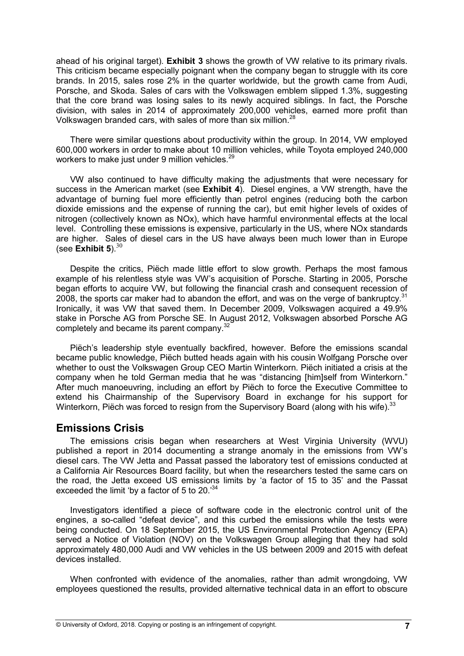ahead of his original target). **Exhibit 3** shows the growth of VW relative to its primary rivals. This criticism became especially poignant when the company began to struggle with its core brands. In 2015, sales rose 2% in the quarter worldwide, but the growth came from Audi, Porsche, and Skoda. Sales of cars with the Volkswagen emblem slipped 1.3%, suggesting that the core brand was losing sales to its newly acquired siblings. In fact, the Porsche division, with sales in 2014 of approximately 200,000 vehicles, earned more profit than Volkswagen branded cars, with sales of more than six million.<sup>28</sup>

There were similar questions about productivity within the group. In 2014, VW employed 600,000 workers in order to make about 10 million vehicles, while Toyota employed 240,000 workers to make just under 9 million vehicles. $^{29}$ 

VW also continued to have difficulty making the adjustments that were necessary for success in the American market (see **Exhibit 4**). Diesel engines, a VW strength, have the advantage of burning fuel more efficiently than petrol engines (reducing both the carbon dioxide emissions and the expense of running the car), but emit higher levels of oxides of nitrogen (collectively known as NOx), which have harmful environmental effects at the local level. Controlling these emissions is expensive, particularly in the US, where NOx standards are higher. Sales of diesel cars in the US have always been much lower than in Europe  $($ see **Exhibit 5** $)$ . $30$ 

Despite the critics, Piëch made little effort to slow growth. Perhaps the most famous example of his relentless style was VW's acquisition of Porsche. Starting in 2005, Porsche began efforts to acquire VW, but following the financial crash and consequent recession of 2008, the sports car maker had to abandon the effort, and was on the verge of bankruptcy.<sup>31</sup> Ironically, it was VW that saved them. In December 2009, Volkswagen acquired a 49.9% stake in Porsche AG from Porsche SE. In August 2012, Volkswagen absorbed Porsche AG completely and became its parent company.<sup>32</sup>

Piëch's leadership style eventually backfired, however. Before the emissions scandal became public knowledge, Piëch butted heads again with his cousin Wolfgang Porsche over whether to oust the Volkswagen Group CEO Martin Winterkorn. Piëch initiated a crisis at the company when he told German media that he was "distancing [him]self from Winterkorn." After much manoeuvring, including an effort by Piëch to force the Executive Committee to extend his Chairmanship of the Supervisory Board in exchange for his support for Winterkorn, Piëch was forced to resign from the Supervisory Board (along with his wife). $^{33}$ 

#### **Emissions Crisis**

The emissions crisis began when researchers at West Virginia University (WVU) published a report in 2014 documenting a strange anomaly in the emissions from VW's diesel cars. The VW Jetta and Passat passed the laboratory test of emissions conducted at a California Air Resources Board facility, but when the researchers tested the same cars on the road, the Jetta exceed US emissions limits by 'a factor of 15 to 35' and the Passat exceeded the limit 'by a factor of 5 to 20. $34$ 

Investigators identified a piece of software code in the electronic control unit of the engines, a so-called "defeat device", and this curbed the emissions while the tests were being conducted. On 18 September 2015, the US Environmental Protection Agency (EPA) served a Notice of Violation (NOV) on the Volkswagen Group alleging that they had sold approximately 480,000 Audi and VW vehicles in the US between 2009 and 2015 with defeat devices installed.

When confronted with evidence of the anomalies, rather than admit wrongdoing, VW employees questioned the results, provided alternative technical data in an effort to obscure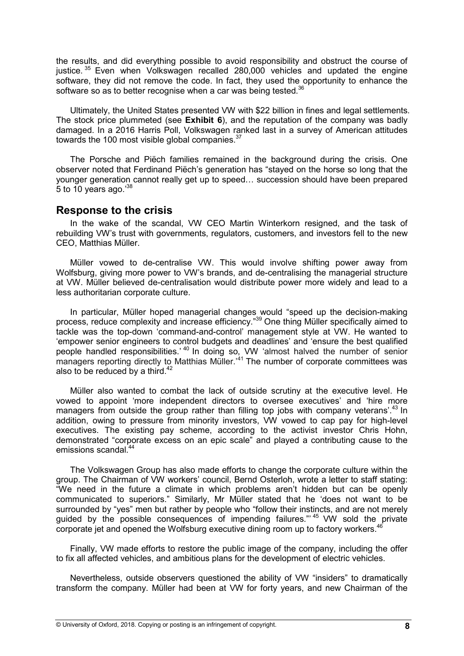the results, and did everything possible to avoid responsibility and obstruct the course of justice.<sup>35</sup> Even when Volkswagen recalled 280,000 vehicles and updated the engine software, they did not remove the code. In fact, they used the opportunity to enhance the software so as to better recognise when a car was being tested. $36$ 

Ultimately, the United States presented VW with \$22 billion in fines and legal settlements. The stock price plummeted (see **Exhibit 6**), and the reputation of the company was badly damaged. In a 2016 Harris Poll, Volkswagen ranked last in a survey of American attitudes towards the 100 most visible global companies.<sup>37</sup>

The Porsche and Piëch families remained in the background during the crisis. One observer noted that Ferdinand Piëch's generation has "stayed on the horse so long that the younger generation cannot really get up to speed... succession should have been prepared 5 to 10 years ago. $38$ 

#### **Response to the crisis**

In the wake of the scandal, VW CEO Martin Winterkorn resigned, and the task of rebuilding VW's trust with governments, regulators, customers, and investors fell to the new CEO, Matthias Müller.

Müller vowed to de-centralise VW. This would involve shifting power away from Wolfsburg, giving more power to VW's brands, and de-centralising the managerial structure at VW. Müller believed de-centralisation would distribute power more widely and lead to a less authoritarian corporate culture.

In particular, Müller hoped managerial changes would "speed up the decision-making process, reduce complexity and increase efficiency."<sup>39</sup> One thing Müller specifically aimed to tackle was the top-down 'command-and-control' management style at VW. He wanted to 'empower senior engineers to control budgets and deadlines' and 'ensure the best qualified people handled responsibilities.'<sup>40</sup> In doing so, VW 'almost halved the number of senior managers reporting directly to Matthias Müller.<sup>141</sup> The number of corporate committees was also to be reduced by a third. $42$ 

Müller also wanted to combat the lack of outside scrutiny at the executive level. He vowed to appoint 'more independent directors to oversee executives' and 'hire more managers from outside the group rather than filling top jobs with company veterans'.<sup>43</sup> In addition, owing to pressure from minority investors, VW vowed to cap pay for high-level executives. The existing pay scheme, according to the activist investor Chris Hohn, demonstrated "corporate excess on an epic scale" and played a contributing cause to the emissions scandal.<sup>44</sup>

The Volkswagen Group has also made efforts to change the corporate culture within the group. The Chairman of VW workers' council, Bernd Osterloh, wrote a letter to staff stating: "We need in the future a climate in which problems aren't hidden but can be openly communicated to superiors." Similarly, Mr Müller stated that he 'does not want to be surrounded by "yes" men but rather by people who "follow their instincts, and are not merely guided by the possible consequences of impending failures."<sup>45</sup> VW sold the private corporate jet and opened the Wolfsburg executive dining room up to factory workers.<sup>46</sup>

Finally, VW made efforts to restore the public image of the company, including the offer to fix all affected vehicles, and ambitious plans for the development of electric vehicles.

Nevertheless, outside observers questioned the ability of VW "insiders" to dramatically transform the company. Müller had been at VW for forty years, and new Chairman of the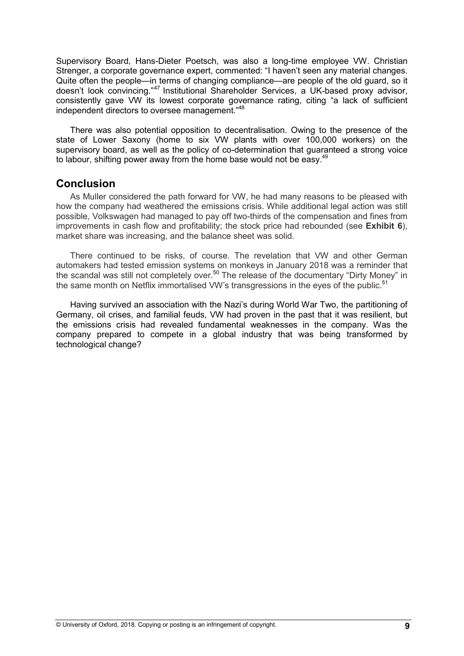Supervisory Board, Hans-Dieter Poetsch, was also a long-time employee VW. Christian Strenger, a corporate governance expert, commented: "I haven't seen any material changes. Quite often the people—in terms of changing compliance—are people of the old guard, so it doesn't look convincing."<sup>47</sup> Institutional Shareholder Services, a UK-based proxy advisor, consistently gave VW its lowest corporate governance rating, citing "a lack of sufficient independent directors to oversee management."<sup>48</sup>

There was also potential opposition to decentralisation. Owing to the presence of the state of Lower Saxony (home to six VW plants with over 100,000 workers) on the supervisory board, as well as the policy of co-determination that guaranteed a strong voice to labour, shifting power away from the home base would not be easy.<sup>49</sup>

## **Conclusion**

As Muller considered the path forward for VW, he had many reasons to be pleased with how the company had weathered the emissions crisis. While additional legal action was still possible, Volkswagen had managed to pay off two-thirds of the compensation and fines from improvements in cash flow and profitability; the stock price had rebounded (see **Exhibit 6**), market share was increasing, and the balance sheet was solid.

There continued to be risks, of course. The revelation that VW and other German automakers had tested emission systems on monkeys in January 2018 was a reminder that the scandal was still not completely over.<sup>50</sup> The release of the documentary "Dirty Money" in the same month on Netflix immortalised VW's transgressions in the eyes of the public.<sup>51</sup>

Having survived an association with the Nazi's during World War Two, the partitioning of Germany, oil crises, and familial feuds, VW had proven in the past that it was resilient, but the emissions crisis had revealed fundamental weaknesses in the company. Was the company prepared to compete in a global industry that was being transformed by technological change?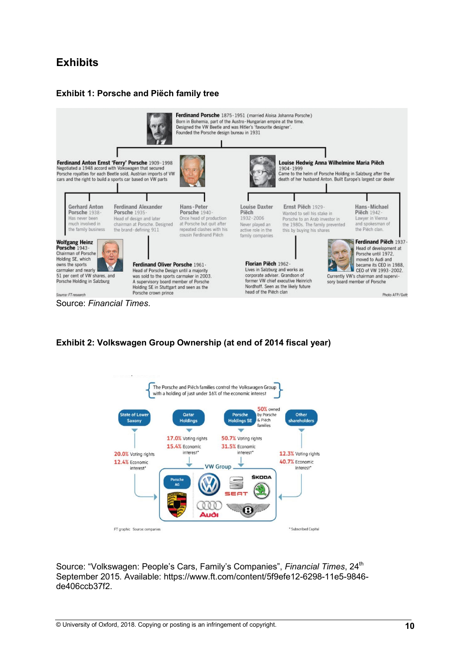# **Exhibits**

## **Exhibit 1: Porsche and Piëch family tree**



#### **Exhibit 2: Volkswagen Group Ownership (at end of 2014 fiscal year)**



Source: "Volkswagen: People's Cars, Family's Companies", Financial Times, 24<sup>th</sup> September 2015. Available: https://www.ft.com/content/5f9efe12-6298-11e5-9846 de406ccb37f2.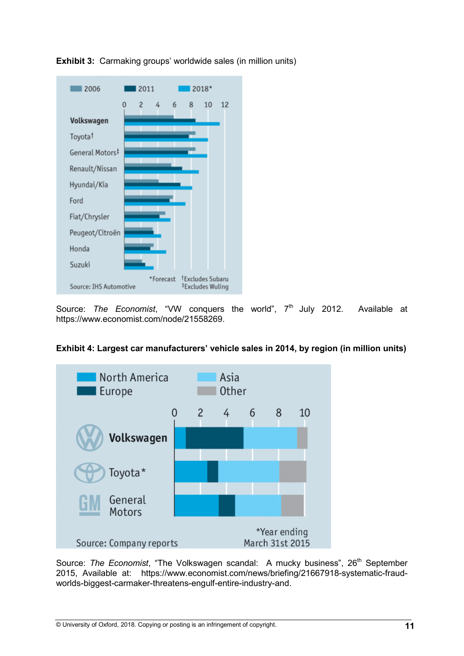

**Exhibit 3:** Carmaking groups' worldwide sales (in million units)

Source: The Economist, "VW conquers the world", 7<sup>th</sup> July 2012. Available at https://www.economist.com/node/21558269.



# **Exhibit 4: Largest car manufacturers' vehicle sales in 2014, by region (in million units)**

Source: *The Economist*, "The Volkswagen scandal: A mucky business", 26<sup>th</sup> September 2015, Available at: https://www.economist.com/news/briefing/21667918-systematic-fraudworlds-biggest-carmaker-threatens-engulf-entire-industry-and.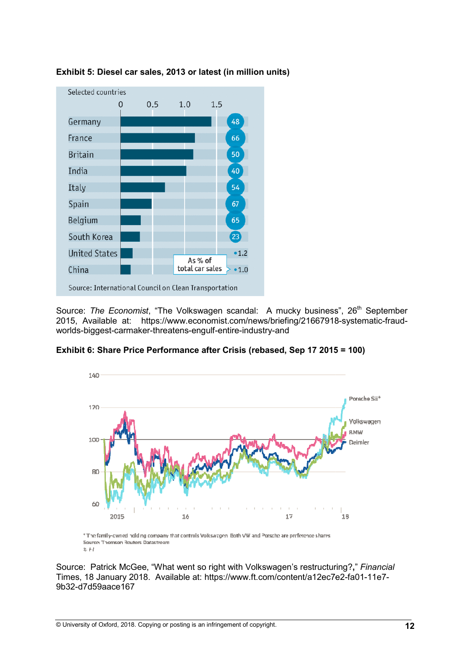

**Exhibit 5: Diesel car sales, 2013 or latest (**

Source: The Economist, "The Volkswagen scandal: A mucky business", 26<sup>th</sup> September 2015, Available at: https://www.economist.com/news/briefing/21667918-systematic-fraudworlds-biggest-carmaker-threatens-engulf-entire-industry-and



**Exhibit 6: Share Price Performance after Crisis (rebased, Sep 17 2015 = 100)** 

Source: Patrick McGee, "What went so right with Volkswagen's restructuring? **,**" *Financial*  Source: Patrick McGee, "What went so right with Volkswagen's restructuring?," *Financi*<br>Times, 18 January 2018. Available at: https://www.ft.com/content/a12ec7e2-fa01-11e7-9b32-d7d59aace167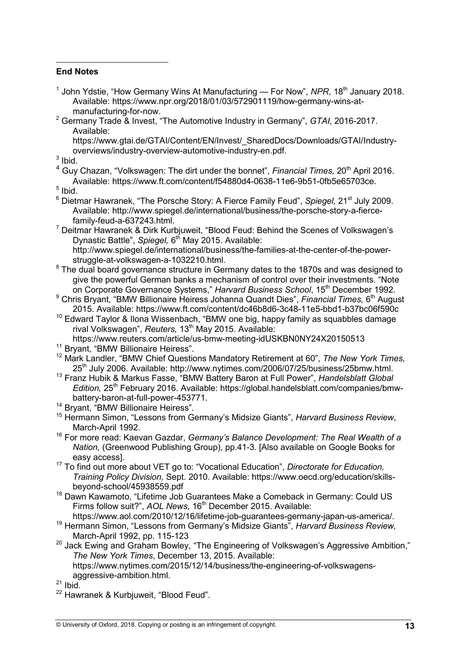#### **End Notes**

 $\overline{a}$ 

- <sup>1</sup> John Ydstie, "How Germany Wins At Manufacturing For Now", NPR, 18<sup>th</sup> January 2018. Available: https://www.npr.org/2018/01/03/572901119/how-germany-wins-atmanufacturing-for-now.
- 2 Germany Trade & Invest, "The Automotive Industry in Germany", *GTAI,* 2016-2017. Available:

https://www.gtai.de/GTAI/Content/EN/Invest/\_SharedDocs/Downloads/GTAI/Industryoverviews/industry-overview-automotive-industry-en.pdf.

 $3$  Ibid.

<sup>4</sup> Guy Chazan, "Volkswagen: The dirt under the bonnet", *Financial Times,* 20<sup>th</sup> April 2016. Available: https://www.ft.com/content/f54880d4-0638-11e6-9b51-0fb5e65703ce.

<sup>5</sup> Ibid.

- <sup>6</sup> Dietmar Hawranek, "The Porsche Story: A Fierce Family Feud", Spiegel, 21<sup>st</sup> July 2009. Available: http://www.spiegel.de/international/business/the-porsche-story-a-fiercefamily-feud-a-637243.html.
- <sup>7</sup> Deitmar Hawranek & Dirk Kurbjuweit, "Blood Feud: Behind the Scenes of Volkswagen's Dynastic Battle", Spiegel, 6<sup>th</sup> May 2015. Available: http://www.spiegel.de/international/business/the-families-at-the-center-of-the-powerstruggle-at-volkswagen-a-1032210.html.

<sup>8</sup> The dual board governance structure in Germany dates to the 1870s and was designed to give the powerful German banks a mechanism of control over their investments. "Note on Corporate Governance Systems," *Harvard Business School*, 15<sup>th</sup> December 1992.

- <sup>9</sup> Chris Bryant, "BMW Billionaire Heiress Johanna Quandt Dies", *Financial Times,* 6<sup>th</sup> August 2015. Available: https://www.ft.com/content/dc46b8d6-3c48-11e5-bbd1-b37bc06f590c
- <sup>10</sup> Edward Taylor & Ilona Wissenbach, "BMW one big, happy family as squabbles damage rival Volkswagen", *Reuters*, 13<sup>th</sup> May 2015. Available:

https://www.reuters.com/article/us-bmw-meeting-idUSKBN0NY24X20150513

<sup>11</sup> Bryant, "BMW Billionaire Heiress".

<sup>12</sup> Mark Landler, "BMW Chief Questions Mandatory Retirement at 60", *The New York Times,*  25<sup>th</sup> July 2006. Available: http://www.nytimes.com/2006/07/25/business/25bmw.html.

- <sup>13</sup> Franz Hubik & Markus Fasse, "BMW Battery Baron at Full Power", *Handelsblatt Global Edition,* 25th February 2016. Available: https://global.handelsblatt.com/companies/bmwbattery-baron-at-full-power-453771.
- <sup>14</sup> Bryant, "BMW Billionaire Heiress".
- <sup>15</sup> Hermann Simon, "Lessons from Germany's Midsize Giants", *Harvard Business Review*, March-April 1992.
- <sup>16</sup> For more read: Kaevan Gazdar, *Germany's Balance Development: The Real Wealth of a Nation,* (Greenwood Publishing Group), pp.41-3. [Also available on Google Books for easy access].

<sup>17</sup> To find out more about VET go to: "Vocational Education", *Directorate for Education, Training Policy Division,* Sept. 2010. Available: https://www.oecd.org/education/skillsbeyond-school/45938559.pdf

<sup>18</sup> Dawn Kawamoto, "Lifetime Job Guarantees Make a Comeback in Germany: Could US Firms follow suit?", *AOL News*, 16<sup>th</sup> December 2015. Available:

https://www.aol.com/2010/12/16/lifetime-job-guarantees-germany-japan-us-america/. <sup>19</sup> Hermann Simon, "Lessons from Germany's Midsize Giants", *Harvard Business Review,*  March-April 1992, pp. 115-123

20 Jack Ewing and Graham Bowley, "The Engineering of Volkswagen's Aggressive Ambition," *The New York Times*, December 13, 2015. Available:

https://www.nytimes.com/2015/12/14/business/the-engineering-of-volkswagensaggressive-ambition.html.

 $21$  Ibid.

<sup>&</sup>lt;sup>22</sup> Hawranek & Kurbjuweit, "Blood Feud".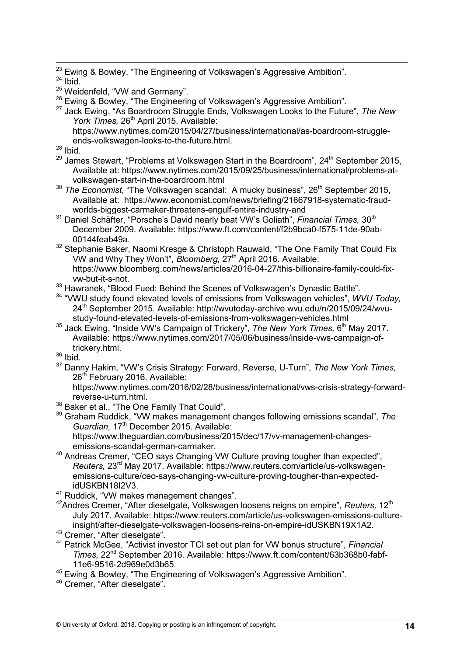<sup>23</sup> Ewing & Bowley, "The Engineering of Volkswagen's Aggressive Ambition".

 $24$  Ibid.

 $\overline{a}$ 

- <sup>25</sup> Weidenfeld, "VW and Germany".
- <sup>26</sup> Ewing & Bowley, "The Engineering of Volkswagen's Aggressive Ambition".
- <sup>27</sup> Jack Ewing, "As Boardroom Struggle Ends, Volkswagen Looks to the Future", *The New*  York Times, 26<sup>th</sup> April 2015. Available: https://www.nytimes.com/2015/04/27/business/international/as-boardroom-struggle
	- ends-volkswagen-looks-to-the-future.html.
- $28$  Ibid.
- $29$  James Stewart, "Problems at Volkswagen Start in the Boardroom",  $24<sup>th</sup>$  September 2015, Available at: https://www.nytimes.com/2015/09/25/business/international/problems-atvolkswagen-start-in-the-boardroom.html
- <sup>30</sup> *The Economist*, "The Volkswagen scandal: A mucky business", 26<sup>th</sup> September 2015, Available at: https://www.economist.com/news/briefing/21667918-systematic-fraudworlds-biggest-carmaker-threatens-engulf-entire-industry-and
- <sup>31</sup> Daniel Schäfter, "Porsche's David nearly beat VW's Goliath", Financial Times, 30<sup>th</sup> December 2009. Available: https://www.ft.com/content/f2b9bca0-f575-11de-90ab-00144feab49a.
- <sup>32</sup> Stephanie Baker, Naomi Kresge & Christoph Rauwald, "The One Family That Could Fix VW and Why They Won't", *Bloomberg,* 27<sup>th</sup> April 2016. Available: https://www.bloomberg.com/news/articles/2016-04-27/this-billionaire-family-could-fixvw-but-it-s-not.
- 33 Hawranek, "Blood Fued: Behind the Scenes of Volkswagen's Dynastic Battle".
- <sup>34</sup> "VWU study found elevated levels of emissions from Volkswagen vehicles", *WVU Today,* 24<sup>th</sup> September 2015. Available: http://wvutoday-archive.wvu.edu/n/2015/09/24/wvustudy-found-elevated-levels-of-emissions-from-volkswagen-vehicles.html
- <sup>35</sup> Jack Ewing, "Inside VW's Campaign of Trickery", The New York Times, 6<sup>th</sup> May 2017. Available: https://www.nytimes.com/2017/05/06/business/inside-vws-campaign-oftrickery.html.
- $36$  Ibid.
- <sup>37</sup> Danny Hakim, "VW's Crisis Strategy: Forward, Reverse, U-Turn", *The New York Times,*  26<sup>th</sup> February 2016. Available:

https://www.nytimes.com/2016/02/28/business/international/vws-crisis-strategy-forwardreverse-u-turn.html.

- <sup>38</sup> Baker et al., "The One Family That Could".
- <sup>39</sup> Graham Ruddick, "VW makes management changes following emissions scandal", *The*  Guardian, 17<sup>th</sup> December 2015. Available:

https://www.theguardian.com/business/2015/dec/17/vv-management-changesemissions-scandal-german-carmaker.

- <sup>40</sup> Andreas Cremer, "CEO says Changing VW Culture proving tougher than expected", *Reuters,* 23rd May 2017. Available: https://www.reuters.com/article/us-volkswagenemissions-culture/ceo-says-changing-vw-culture-proving-tougher-than-expectedidUSKBN18I2V3.
- <sup>41</sup> Ruddick, "VW makes management changes".
- <sup>42</sup>Andres Cremer, "After dieselgate, Volkswagen loosens reigns on empire", *Reuters,* 12th July 2017. Available: https://www.reuters.com/article/us-volkswagen-emissions-cultureinsight/after-dieselgate-volkswagen-loosens-reins-on-empire-idUSKBN19X1A2.
- <sup>43</sup> Cremer, "After dieselgate".
- <sup>44</sup> Patrick McGee, "Activist investor TCI set out plan for VW bonus structure", *Financial Times,* 22nd September 2016. Available: https://www.ft.com/content/63b368b0-fabf-11e6-9516-2d969e0d3b65.
- <sup>45</sup> Ewing & Bowley, "The Engineering of Volkswagen's Aggressive Ambition".
- <sup>46</sup> Cremer, "After dieselgate".